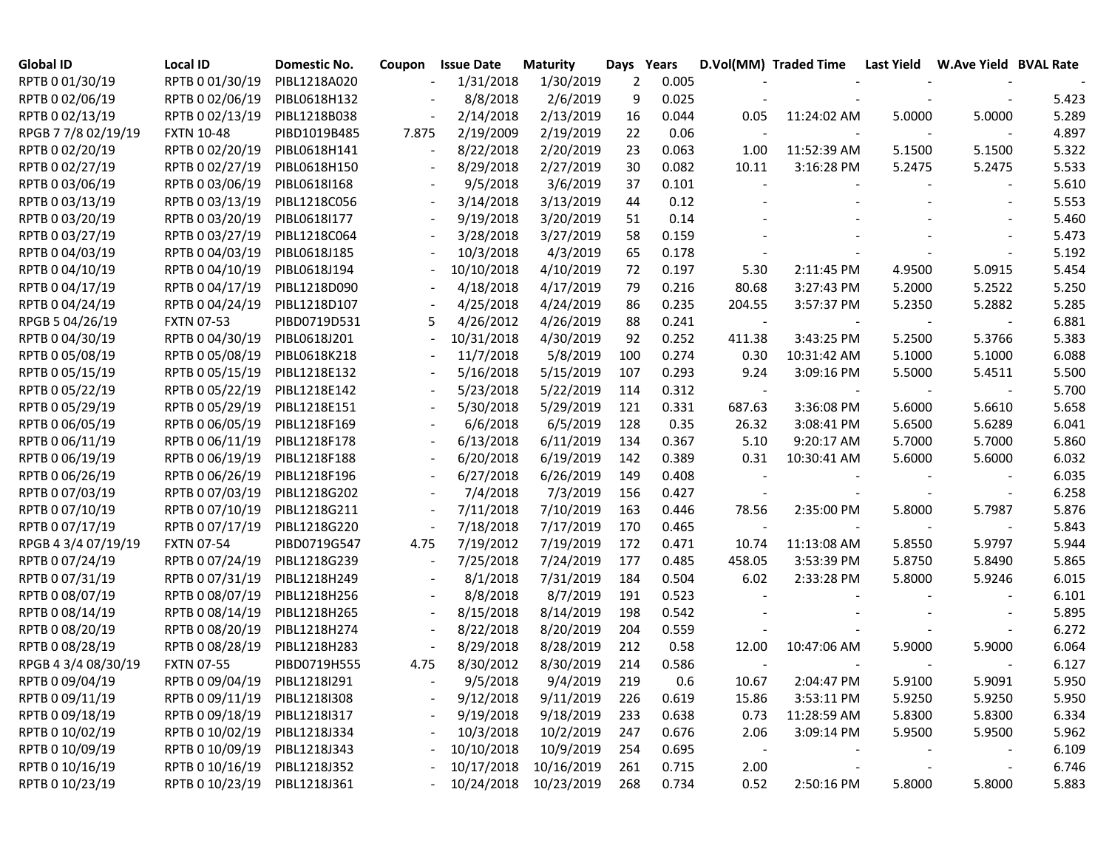| <b>Global ID</b>    | <b>Local ID</b>              | Domestic No. | Coupon                   | <b>Issue Date</b> | <b>Maturity</b>       | Days           | Years |            | D.Vol(MM) Traded Time    Last Yield    W.Ave Yield    BVAL Rate |        |                          |       |
|---------------------|------------------------------|--------------|--------------------------|-------------------|-----------------------|----------------|-------|------------|-----------------------------------------------------------------|--------|--------------------------|-------|
| RPTB 0 01/30/19     | RPTB 0 01/30/19              | PIBL1218A020 |                          | 1/31/2018         | 1/30/2019             | $\overline{2}$ | 0.005 |            |                                                                 |        |                          |       |
| RPTB 0 02/06/19     | RPTB 0 02/06/19              | PIBL0618H132 |                          | 8/8/2018          | 2/6/2019              | 9              | 0.025 |            |                                                                 |        |                          | 5.423 |
| RPTB 0 02/13/19     | RPTB 0 02/13/19              | PIBL1218B038 |                          | 2/14/2018         | 2/13/2019             | 16             | 0.044 | 0.05       | 11:24:02 AM                                                     | 5.0000 | 5.0000                   | 5.289 |
| RPGB 7 7/8 02/19/19 | <b>FXTN 10-48</b>            | PIBD1019B485 | 7.875                    | 2/19/2009         | 2/19/2019             | 22             | 0.06  |            |                                                                 |        |                          | 4.897 |
| RPTB 0 02/20/19     | RPTB 0 02/20/19              | PIBL0618H141 |                          | 8/22/2018         | 2/20/2019             | 23             | 0.063 | 1.00       | 11:52:39 AM                                                     | 5.1500 | 5.1500                   | 5.322 |
| RPTB 0 02/27/19     | RPTB 0 02/27/19              | PIBL0618H150 |                          | 8/29/2018         | 2/27/2019             | 30             | 0.082 | 10.11      | 3:16:28 PM                                                      | 5.2475 | 5.2475                   | 5.533 |
| RPTB 0 03/06/19     | RPTB 0 03/06/19              | PIBL0618I168 |                          | 9/5/2018          | 3/6/2019              | 37             | 0.101 |            |                                                                 |        |                          | 5.610 |
| RPTB 0 03/13/19     | RPTB 0 03/13/19              | PIBL1218C056 |                          | 3/14/2018         | 3/13/2019             | 44             | 0.12  |            |                                                                 |        |                          | 5.553 |
| RPTB 0 03/20/19     | RPTB 0 03/20/19              | PIBL0618I177 | $\blacksquare$           | 9/19/2018         | 3/20/2019             | 51             | 0.14  |            |                                                                 |        |                          | 5.460 |
| RPTB 0 03/27/19     | RPTB 0 03/27/19              | PIBL1218C064 | $\overline{\phantom{a}}$ | 3/28/2018         | 3/27/2019             | 58             | 0.159 |            |                                                                 |        |                          | 5.473 |
| RPTB 0 04/03/19     | RPTB 0 04/03/19              | PIBL0618J185 |                          | 10/3/2018         | 4/3/2019              | 65             | 0.178 |            |                                                                 |        |                          | 5.192 |
| RPTB 0 04/10/19     | RPTB 0 04/10/19              | PIBL0618J194 |                          | 10/10/2018        | 4/10/2019             | 72             | 0.197 | 5.30       | 2:11:45 PM                                                      | 4.9500 | 5.0915                   | 5.454 |
| RPTB 0 04/17/19     | RPTB 0 04/17/19              | PIBL1218D090 |                          | 4/18/2018         | 4/17/2019             | 79             | 0.216 | 80.68      | 3:27:43 PM                                                      | 5.2000 | 5.2522                   | 5.250 |
| RPTB 0 04/24/19     | RPTB 0 04/24/19              | PIBL1218D107 |                          | 4/25/2018         | 4/24/2019             | 86             | 0.235 | 204.55     | 3:57:37 PM                                                      | 5.2350 | 5.2882                   | 5.285 |
| RPGB 5 04/26/19     | <b>FXTN 07-53</b>            | PIBD0719D531 | 5                        | 4/26/2012         | 4/26/2019             | 88             | 0.241 | $\sim$     |                                                                 |        |                          | 6.881 |
| RPTB 0 04/30/19     | RPTB 0 04/30/19              | PIBL0618J201 |                          | 10/31/2018        | 4/30/2019             | 92             | 0.252 | 411.38     | 3:43:25 PM                                                      | 5.2500 | 5.3766                   | 5.383 |
| RPTB 0 05/08/19     | RPTB 0 05/08/19              | PIBL0618K218 |                          | 11/7/2018         | 5/8/2019              | 100            | 0.274 | 0.30       | 10:31:42 AM                                                     | 5.1000 | 5.1000                   | 6.088 |
| RPTB 0 05/15/19     | RPTB 0 05/15/19              | PIBL1218E132 |                          | 5/16/2018         | 5/15/2019             | 107            | 0.293 | 9.24       | 3:09:16 PM                                                      | 5.5000 | 5.4511                   | 5.500 |
| RPTB 0 05/22/19     | RPTB 0 05/22/19              | PIBL1218E142 |                          | 5/23/2018         | 5/22/2019             | 114            | 0.312 |            |                                                                 |        |                          | 5.700 |
| RPTB 0 05/29/19     | RPTB 0 05/29/19              | PIBL1218E151 |                          | 5/30/2018         | 5/29/2019             | 121            | 0.331 | 687.63     | 3:36:08 PM                                                      | 5.6000 | 5.6610                   | 5.658 |
| RPTB 0 06/05/19     | RPTB 0 06/05/19              | PIBL1218F169 |                          | 6/6/2018          | 6/5/2019              | 128            | 0.35  | 26.32      | 3:08:41 PM                                                      | 5.6500 | 5.6289                   | 6.041 |
| RPTB 0 06/11/19     | RPTB 0 06/11/19              | PIBL1218F178 |                          | 6/13/2018         | 6/11/2019             | 134            | 0.367 | 5.10       | 9:20:17 AM                                                      | 5.7000 | 5.7000                   | 5.860 |
| RPTB 0 06/19/19     | RPTB 0 06/19/19              | PIBL1218F188 |                          | 6/20/2018         | 6/19/2019             | 142            | 0.389 | 0.31       | 10:30:41 AM                                                     | 5.6000 | 5.6000                   | 6.032 |
| RPTB 0 06/26/19     | RPTB 0 06/26/19              | PIBL1218F196 |                          | 6/27/2018         | 6/26/2019             | 149            | 0.408 |            |                                                                 |        |                          | 6.035 |
| RPTB 0 07/03/19     | RPTB 0 07/03/19              | PIBL1218G202 |                          | 7/4/2018          | 7/3/2019              | 156            | 0.427 |            |                                                                 |        |                          | 6.258 |
| RPTB 0 07/10/19     | RPTB 0 07/10/19              | PIBL1218G211 |                          | 7/11/2018         | 7/10/2019             | 163            | 0.446 | 78.56      | 2:35:00 PM                                                      | 5.8000 | 5.7987                   | 5.876 |
| RPTB 0 07/17/19     | RPTB 0 07/17/19              | PIBL1218G220 |                          | 7/18/2018         | 7/17/2019             | 170            | 0.465 |            |                                                                 |        |                          | 5.843 |
| RPGB 4 3/4 07/19/19 | <b>FXTN 07-54</b>            | PIBD0719G547 | 4.75                     | 7/19/2012         | 7/19/2019             | 172            | 0.471 | 10.74      | 11:13:08 AM                                                     | 5.8550 | 5.9797                   | 5.944 |
| RPTB 0 07/24/19     | RPTB 0 07/24/19              | PIBL1218G239 |                          | 7/25/2018         | 7/24/2019             | 177            | 0.485 | 458.05     | 3:53:39 PM                                                      | 5.8750 | 5.8490                   | 5.865 |
| RPTB 0 07/31/19     | RPTB 0 07/31/19              | PIBL1218H249 |                          | 8/1/2018          | 7/31/2019             | 184            | 0.504 | 6.02       | 2:33:28 PM                                                      | 5.8000 | 5.9246                   | 6.015 |
| RPTB 0 08/07/19     | RPTB 0 08/07/19              | PIBL1218H256 |                          | 8/8/2018          | 8/7/2019              | 191            | 0.523 |            |                                                                 |        |                          | 6.101 |
| RPTB 0 08/14/19     | RPTB 0 08/14/19              | PIBL1218H265 |                          | 8/15/2018         | 8/14/2019             | 198            | 0.542 |            |                                                                 |        |                          | 5.895 |
| RPTB 0 08/20/19     | RPTB 0 08/20/19              | PIBL1218H274 |                          | 8/22/2018         | 8/20/2019             | 204            | 0.559 |            |                                                                 |        |                          | 6.272 |
| RPTB 0 08/28/19     | RPTB 0 08/28/19              | PIBL1218H283 | $\overline{\phantom{a}}$ | 8/29/2018         | 8/28/2019             | 212            | 0.58  | 12.00      | 10:47:06 AM                                                     | 5.9000 | 5.9000                   | 6.064 |
| RPGB 4 3/4 08/30/19 | <b>FXTN 07-55</b>            | PIBD0719H555 | 4.75                     | 8/30/2012         | 8/30/2019             | 214            | 0.586 |            |                                                                 |        |                          | 6.127 |
| RPTB 0 09/04/19     | RPTB 0 09/04/19              | PIBL1218I291 |                          | 9/5/2018          | 9/4/2019              | 219            | 0.6   | 10.67      | 2:04:47 PM                                                      | 5.9100 | 5.9091                   | 5.950 |
| RPTB 0 09/11/19     | RPTB 0 09/11/19 PIBL1218I308 |              |                          | 9/12/2018         | 9/11/2019             | 226            | 0.619 | 15.86      | 3:53:11 PM                                                      | 5.9250 | 5.9250                   | 5.950 |
| RPTB 0 09/18/19     | RPTB 0 09/18/19 PIBL1218I317 |              |                          | 9/19/2018         | 9/18/2019             | 233            | 0.638 | 0.73       | 11:28:59 AM                                                     | 5.8300 | 5.8300                   | 6.334 |
| RPTB 0 10/02/19     | RPTB 0 10/02/19 PIBL1218J334 |              |                          | 10/3/2018         | 10/2/2019             | 247            | 0.676 | 2.06       | 3:09:14 PM                                                      | 5.9500 | 5.9500                   | 5.962 |
| RPTB 0 10/09/19     | RPTB 0 10/09/19 PIBL1218J343 |              |                          | 10/10/2018        | 10/9/2019             | 254            | 0.695 | $\sim$ $-$ |                                                                 |        | $\overline{\phantom{a}}$ | 6.109 |
| RPTB 0 10/16/19     | RPTB 0 10/16/19 PIBL1218J352 |              | $\sim$                   | 10/17/2018        | 10/16/2019            | 261            | 0.715 | 2.00       |                                                                 |        |                          | 6.746 |
| RPTB 0 10/23/19     | RPTB 0 10/23/19 PIBL1218J361 |              |                          |                   | 10/24/2018 10/23/2019 | 268            | 0.734 | 0.52       | 2:50:16 PM                                                      | 5.8000 | 5.8000                   | 5.883 |
|                     |                              |              |                          |                   |                       |                |       |            |                                                                 |        |                          |       |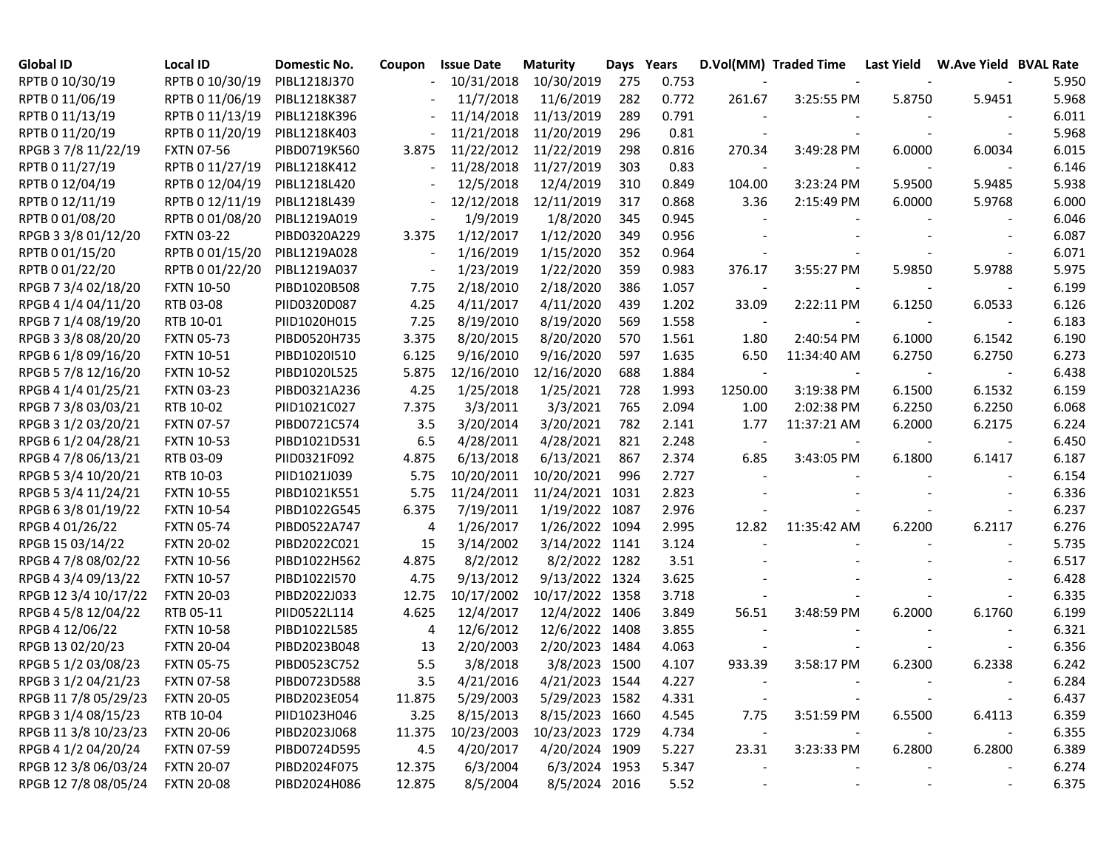| <b>Global ID</b>     | Local ID          | Domestic No. | Coupon | <b>Issue Date</b> | <b>Maturity</b> | Days Years |       |                          | D.Vol(MM) Traded Time | Last Yield | W.Ave Yield BVAL Rate |       |
|----------------------|-------------------|--------------|--------|-------------------|-----------------|------------|-------|--------------------------|-----------------------|------------|-----------------------|-------|
| RPTB 0 10/30/19      | RPTB 0 10/30/19   | PIBL1218J370 |        | 10/31/2018        | 10/30/2019      | 275        | 0.753 |                          |                       |            |                       | 5.950 |
| RPTB 0 11/06/19      | RPTB 0 11/06/19   | PIBL1218K387 |        | 11/7/2018         | 11/6/2019       | 282        | 0.772 | 261.67                   | 3:25:55 PM            | 5.8750     | 5.9451                | 5.968 |
| RPTB 0 11/13/19      | RPTB 0 11/13/19   | PIBL1218K396 |        | 11/14/2018        | 11/13/2019      | 289        | 0.791 |                          |                       |            |                       | 6.011 |
| RPTB 0 11/20/19      | RPTB 0 11/20/19   | PIBL1218K403 |        | 11/21/2018        | 11/20/2019      | 296        | 0.81  |                          |                       |            |                       | 5.968 |
| RPGB 37/8 11/22/19   | <b>FXTN 07-56</b> | PIBD0719K560 | 3.875  | 11/22/2012        | 11/22/2019      | 298        | 0.816 | 270.34                   | 3:49:28 PM            | 6.0000     | 6.0034                | 6.015 |
| RPTB 0 11/27/19      | RPTB 0 11/27/19   | PIBL1218K412 |        | 11/28/2018        | 11/27/2019      | 303        | 0.83  |                          |                       |            |                       | 6.146 |
| RPTB 0 12/04/19      | RPTB 0 12/04/19   | PIBL1218L420 |        | 12/5/2018         | 12/4/2019       | 310        | 0.849 | 104.00                   | 3:23:24 PM            | 5.9500     | 5.9485                | 5.938 |
| RPTB 0 12/11/19      | RPTB 0 12/11/19   | PIBL1218L439 |        | 12/12/2018        | 12/11/2019      | 317        | 0.868 | 3.36                     | 2:15:49 PM            | 6.0000     | 5.9768                | 6.000 |
| RPTB 0 01/08/20      | RPTB 0 01/08/20   | PIBL1219A019 |        | 1/9/2019          | 1/8/2020        | 345        | 0.945 |                          |                       |            |                       | 6.046 |
| RPGB 3 3/8 01/12/20  | <b>FXTN 03-22</b> | PIBD0320A229 | 3.375  | 1/12/2017         | 1/12/2020       | 349        | 0.956 |                          |                       |            |                       | 6.087 |
| RPTB 0 01/15/20      | RPTB 0 01/15/20   | PIBL1219A028 |        | 1/16/2019         | 1/15/2020       | 352        | 0.964 |                          |                       |            |                       | 6.071 |
| RPTB 0 01/22/20      | RPTB 0 01/22/20   | PIBL1219A037 |        | 1/23/2019         | 1/22/2020       | 359        | 0.983 | 376.17                   | 3:55:27 PM            | 5.9850     | 5.9788                | 5.975 |
| RPGB 7 3/4 02/18/20  | <b>FXTN 10-50</b> | PIBD1020B508 | 7.75   | 2/18/2010         | 2/18/2020       | 386        | 1.057 | $\overline{\phantom{a}}$ |                       |            |                       | 6.199 |
| RPGB 4 1/4 04/11/20  | RTB 03-08         | PIID0320D087 | 4.25   | 4/11/2017         | 4/11/2020       | 439        | 1.202 | 33.09                    | 2:22:11 PM            | 6.1250     | 6.0533                | 6.126 |
| RPGB 7 1/4 08/19/20  | RTB 10-01         | PIID1020H015 | 7.25   | 8/19/2010         | 8/19/2020       | 569        | 1.558 | $\sim$                   |                       |            |                       | 6.183 |
| RPGB 3 3/8 08/20/20  | <b>FXTN 05-73</b> | PIBD0520H735 | 3.375  | 8/20/2015         | 8/20/2020       | 570        | 1.561 | 1.80                     | 2:40:54 PM            | 6.1000     | 6.1542                | 6.190 |
| RPGB 6 1/8 09/16/20  | <b>FXTN 10-51</b> | PIBD1020I510 | 6.125  | 9/16/2010         | 9/16/2020       | 597        | 1.635 | 6.50                     | 11:34:40 AM           | 6.2750     | 6.2750                | 6.273 |
| RPGB 5 7/8 12/16/20  | <b>FXTN 10-52</b> | PIBD1020L525 | 5.875  | 12/16/2010        | 12/16/2020      | 688        | 1.884 |                          |                       |            |                       | 6.438 |
| RPGB 4 1/4 01/25/21  | <b>FXTN 03-23</b> | PIBD0321A236 | 4.25   | 1/25/2018         | 1/25/2021       | 728        | 1.993 | 1250.00                  | 3:19:38 PM            | 6.1500     | 6.1532                | 6.159 |
| RPGB 7 3/8 03/03/21  | RTB 10-02         | PIID1021C027 | 7.375  | 3/3/2011          | 3/3/2021        | 765        | 2.094 | 1.00                     | 2:02:38 PM            | 6.2250     | 6.2250                | 6.068 |
| RPGB 3 1/2 03/20/21  | <b>FXTN 07-57</b> | PIBD0721C574 | 3.5    | 3/20/2014         | 3/20/2021       | 782        | 2.141 | 1.77                     | 11:37:21 AM           | 6.2000     | 6.2175                | 6.224 |
| RPGB 6 1/2 04/28/21  | <b>FXTN 10-53</b> | PIBD1021D531 | 6.5    | 4/28/2011         | 4/28/2021       | 821        | 2.248 | $\sim$                   |                       |            |                       | 6.450 |
| RPGB 4 7/8 06/13/21  | RTB 03-09         | PIID0321F092 | 4.875  | 6/13/2018         | 6/13/2021       | 867        | 2.374 | 6.85                     | 3:43:05 PM            | 6.1800     | 6.1417                | 6.187 |
| RPGB 5 3/4 10/20/21  | RTB 10-03         | PIID1021J039 | 5.75   | 10/20/2011        | 10/20/2021      | 996        | 2.727 |                          |                       |            |                       | 6.154 |
| RPGB 5 3/4 11/24/21  | <b>FXTN 10-55</b> | PIBD1021K551 | 5.75   | 11/24/2011        | 11/24/2021      | 1031       | 2.823 |                          |                       |            |                       | 6.336 |
| RPGB 63/8 01/19/22   | <b>FXTN 10-54</b> | PIBD1022G545 | 6.375  | 7/19/2011         | 1/19/2022       | 1087       | 2.976 |                          |                       |            |                       | 6.237 |
| RPGB 4 01/26/22      | <b>FXTN 05-74</b> | PIBD0522A747 | 4      | 1/26/2017         | 1/26/2022       | 1094       | 2.995 | 12.82                    | 11:35:42 AM           | 6.2200     | 6.2117                | 6.276 |
| RPGB 15 03/14/22     | <b>FXTN 20-02</b> | PIBD2022C021 | 15     | 3/14/2002         | 3/14/2022       | 1141       | 3.124 |                          |                       |            |                       | 5.735 |
| RPGB 4 7/8 08/02/22  | <b>FXTN 10-56</b> | PIBD1022H562 | 4.875  | 8/2/2012          | 8/2/2022        | 1282       | 3.51  |                          |                       |            |                       | 6.517 |
| RPGB 4 3/4 09/13/22  | <b>FXTN 10-57</b> | PIBD1022I570 | 4.75   | 9/13/2012         | 9/13/2022 1324  |            | 3.625 |                          |                       |            |                       | 6.428 |
| RPGB 12 3/4 10/17/22 | <b>FXTN 20-03</b> | PIBD2022J033 | 12.75  | 10/17/2002        | 10/17/2022 1358 |            | 3.718 |                          |                       |            |                       | 6.335 |
| RPGB 4 5/8 12/04/22  | RTB 05-11         | PIID0522L114 | 4.625  | 12/4/2017         | 12/4/2022 1406  |            | 3.849 | 56.51                    | 3:48:59 PM            | 6.2000     | 6.1760                | 6.199 |
| RPGB 4 12/06/22      | <b>FXTN 10-58</b> | PIBD1022L585 | 4      | 12/6/2012         | 12/6/2022 1408  |            | 3.855 |                          |                       |            |                       | 6.321 |
| RPGB 13 02/20/23     | <b>FXTN 20-04</b> | PIBD2023B048 | 13     | 2/20/2003         | 2/20/2023 1484  |            | 4.063 |                          |                       |            |                       | 6.356 |
| RPGB 5 1/2 03/08/23  | <b>FXTN 05-75</b> | PIBD0523C752 | 5.5    | 3/8/2018          | 3/8/2023 1500   |            | 4.107 | 933.39                   | 3:58:17 PM            | 6.2300     | 6.2338                | 6.242 |
| RPGB 3 1/2 04/21/23  | <b>FXTN 07-58</b> | PIBD0723D588 | 3.5    | 4/21/2016         | 4/21/2023 1544  |            | 4.227 |                          |                       |            |                       | 6.284 |
| RPGB 11 7/8 05/29/23 | <b>FXTN 20-05</b> | PIBD2023E054 | 11.875 | 5/29/2003         | 5/29/2023 1582  |            | 4.331 |                          |                       |            |                       | 6.437 |
| RPGB 3 1/4 08/15/23  | RTB 10-04         | PIID1023H046 | 3.25   | 8/15/2013         | 8/15/2023 1660  |            | 4.545 | 7.75                     | 3:51:59 PM            | 6.5500     | 6.4113                | 6.359 |
| RPGB 11 3/8 10/23/23 | <b>FXTN 20-06</b> | PIBD2023J068 | 11.375 | 10/23/2003        | 10/23/2023 1729 |            | 4.734 | $\sim 100$               |                       |            |                       | 6.355 |
| RPGB 4 1/2 04/20/24  | <b>FXTN 07-59</b> | PIBD0724D595 | 4.5    | 4/20/2017         | 4/20/2024 1909  |            | 5.227 | 23.31                    | 3:23:33 PM            | 6.2800     | 6.2800                | 6.389 |
| RPGB 12 3/8 06/03/24 | <b>FXTN 20-07</b> | PIBD2024F075 | 12.375 | 6/3/2004          | 6/3/2024 1953   |            | 5.347 |                          |                       |            |                       | 6.274 |
| RPGB 12 7/8 08/05/24 | <b>FXTN 20-08</b> | PIBD2024H086 | 12.875 | 8/5/2004          | 8/5/2024 2016   |            | 5.52  |                          |                       |            |                       | 6.375 |